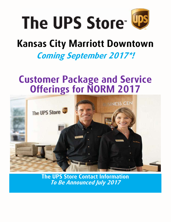

# **Kansas City Marriott Downtown**

### **Coming September 2017\*!**

### **Customer Package and Service Offerings for NORM 2017**



**The UPS Store Contact Information To Be Announced July 2017**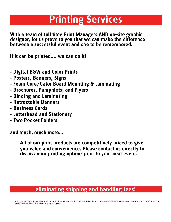### **Printing Services**

**With a team of full time Print Managers AND on-site graphic designer, let us prove to you that we can make the difference between a successful event and one to be remembered.** 

**If it can be printed.... we can do it!**

- **- Digital B&W and Color Prints**
- **- Posters, Banners, Signs**
- **- Foam Core/Gator Board Mounting & Laminating**
- **- Brochures, Pamphlets, and Flyers**
- **- Binding and Laminating**
- **- Retractable Banners**
- **- Business Cards**
- **- Letterhead and Stationery**
- **- Two Pocket Folders**

**and much, much more...**

**All of our print products are competitively priced to give you value and convenience. Please contact us directly to discuss your printing options prior to your next event.**

### **eliminating shipping and handling fees!**

The UPS Store® locations are independently owned and operated by franchisees of The UPS Store, Inc. in the USA and by its master licensee and its franchisees in Canada. Services, pricing and hours of operation may vary by location. Copyright © 2017 The UPS Store, Inc. 41033930514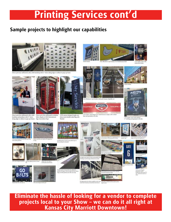## **Printing Services cont'd**

#### **Sample projects to highlight our capabilities**



Great print dye sublimated celtic cloth backdrop with 2" velow along edges to adhere to pop-up fram



ges to adhees to pop



Direct print dye sublimated celtic cloth Tirect print dye sublimated revolution<br>backdrop and podjam with 2" veicro fabric display at 2016 International Sign Association Expo



AVB custom designed single arm<br>direct print double sided flag with blocks





PDL Live Matter eagel hop<br>hans suid grounners at skin Ila.m

**JOHNSON** 





all side



**Eliminate the hassle of looking for a vendor to complete projects local to your Show – we can do it all right at Kansas City Marriott Downtown!**





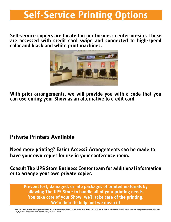## **Self-Service Printing Options**

**Self-service copiers are located in our business center on-site. These are accessed with credit card swipe and connected to high-speed color and black and white print machines.**



**With prior arrangements, we will provide you with a code that you can use during your Show as an alternative to credit card.**

### **Private Printers Available**

**Need more printing? Easier Access? Arrangements can be made to have your own copier for use in your conference room.**

**Consult The UPS Store Business Center team for additional information or to arrange your own private copier.**

**Prevent lost, damaged, or late packages of printed materials by allowing The UPS Store to handle all of your printing needs. You take care of your Show, we'll take care of the printing. We're here to help and we mean it!**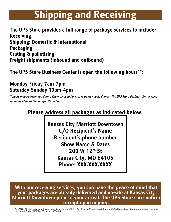# **Shipping and Receiving**

**The UPS Store provides a full range of package services to include: Receiving Shipping: Domestic & International Packaging Crating & palletizing Freight shipments (inbound and outbound)**

**The UPS Store Business Center is open the following hours\*\*:**

#### **Monday-Friday 7am-7pm Saturday-Sunday 10am-4pm**

**\*\*hours may be extended during Show dates to best serve guest needs. Contact The UPS Store Business Center team for hours of operation on specific dates**

### **Please address all packages as indicated below:**

**Kansas City Marriott Downtown C/O Recipient's Name Recipient's phone number Show Name & Dates 200 W 12th St Kansas City, MO 64105 Phone: XXX.XXX.XXXX**

**With our receiving services, you can have the peace of mind that your packages are already delivered and on-site at Kansas City Marriott Downtown prior to your arrival. The UPS Store can confirm receipt upon inquiry.**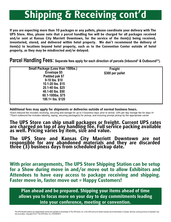# **Shipping & Receiving cont'd**

**If you are expecting more than 10 packages or any pallets, please coordinate your delivery with The UPS Store. Also, please note that a parcel handling fee will be charged for all packages received and/or sent at Kansas City Marriott Downtown, for the service of the item(s) being received, inventoried, stored, and delivered within hotel property. We don't recommend the delivery of item(s) to locations beyond hotel property, such as to the Convention Center outside of hotel property, as they may be misdirected and/or delayed.**

**Parcel Handling Fees: Separate fees apply for each direction of parcels (Inbound\* & Outbound\*\*).**

| <b>Small Package (Less than 150lbs.)</b><br><b>Freight</b><br>Envelope \$5<br>\$300 per pallet<br>Padded pak \$7<br>$0-10$ lbs. \$10<br>10.1-20 lbs. \$15<br>20.1-40 lbs. \$25<br>40.1-60 lbs. \$50<br>60.1-100lbs. \$75<br>100.1+ lbs. \$120 |  |
|-----------------------------------------------------------------------------------------------------------------------------------------------------------------------------------------------------------------------------------------------|--|
|-----------------------------------------------------------------------------------------------------------------------------------------------------------------------------------------------------------------------------------------------|--|

**Additional fees may apply for shipments or deliveries outside of normal business hours.** 

\*Each inbound fee includes receiving, securing and storage for up to 3 business days prior to arrival. 10% per day storage fee for days 4+ \*\*Each outbound fee includes labeling, taping, securing package(s) for pickup, and ensuring prompt pickup by the appropriate carrier

#### **The UPS Store can ship small packages or freight. Current UPS rates are charged on top of any handling fee. Full service packing available as well. Pricing varies by item, size and value.**

**The UPS Store and Kansas City Marriott Downtown are not responsible for any abandoned materials and they are discarded three (3) business days from scheduled pickup date.**

**With prior arrangements, The UPS Store Shipping Station can be setup for a Show during move in and/or move out to allow Exhibitors and Attendees to have easy access to package receiving and shipping. Faster move in, faster move out = Happy Customers!**

**Plan ahead and be prepared. Shipping your items ahead of time allows you to focus more on your day to day commitments leading into your conference, meeting or convention.**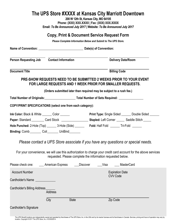#### **The UPS Store #XXXX at Kansas City Marriott Downtown**

**200 W 12th St, Kansas City, MO 64105 Phone: (XXX) XXX.XXXX | Fax: (XXX) XXX.XXXX Email:** *To Be Announced July 2017* **| Website:** *To Be Announced July 2017*

#### **Copy, Print & Document Service Request Form**

*Please Complete Information Below and Submit to The UPS Store.*

| Person Requesting Job Contact Information                                                                                                                |                                                                      |              |          | <b>Delivery Date/Room</b>                                                                                                                                                       |  |  |
|----------------------------------------------------------------------------------------------------------------------------------------------------------|----------------------------------------------------------------------|--------------|----------|---------------------------------------------------------------------------------------------------------------------------------------------------------------------------------|--|--|
| <b>Document Title</b>                                                                                                                                    |                                                                      |              |          | <b>Billing Code</b>                                                                                                                                                             |  |  |
|                                                                                                                                                          | FOR LARGE REQUESTS AND 1 WEEK PRIOR FOR SMALLER REQUESTS.            |              |          | PRE-SHOW REQUESTS NEED TO BE SUBMITTED 2 WEEKS PRIOR TO YOUR EVENT                                                                                                              |  |  |
|                                                                                                                                                          | (Orders submitted later than required may be subject to a rush fee.) |              |          |                                                                                                                                                                                 |  |  |
|                                                                                                                                                          |                                                                      |              |          |                                                                                                                                                                                 |  |  |
| COPY/PRINT SPECIFICATIONS (select one from each category):                                                                                               |                                                                      |              |          |                                                                                                                                                                                 |  |  |
| Ink Color: Black & White _______ Color ______                                                                                                            |                                                                      |              |          | <b>Print Type:</b> Single Sided _______ Double Sided ______<br>Paper: Standard __________ Card Stock _________________________ Stapled: Left Corner _______ Saddle Stitch _____ |  |  |
| Hole Punched: 2-Hole (Top) _______ 3-Hole (Side) _______ Fold: Half Fold ______ Tri-Fold ______<br>Binding: Comb _________ Coil ________ UniBind________ |                                                                      |              |          |                                                                                                                                                                                 |  |  |
|                                                                                                                                                          |                                                                      |              |          | Please contact a UPS Store associate if you have any questions or special needs.                                                                                                |  |  |
|                                                                                                                                                          | requested. Please complete the information requested below.          |              |          | For your convenience, we will use this authorization to charge your credit card account for the above services                                                                  |  |  |
| Please check one: _____ American Express _____ Discover _____Visa ______ MasterCard                                                                      |                                                                      |              |          |                                                                                                                                                                                 |  |  |
| <b>Account Number</b>                                                                                                                                    |                                                                      |              |          | <b>Expiration Date</b>                                                                                                                                                          |  |  |
| Cardholder's Name                                                                                                                                        |                                                                      |              |          | <b>CVV Code</b>                                                                                                                                                                 |  |  |
| Cardholder's Billing Address_                                                                                                                            |                                                                      |              |          |                                                                                                                                                                                 |  |  |
|                                                                                                                                                          | <b>Address</b>                                                       |              |          |                                                                                                                                                                                 |  |  |
|                                                                                                                                                          | City                                                                 | <b>State</b> | Zip Code |                                                                                                                                                                                 |  |  |

Cardholder's Signature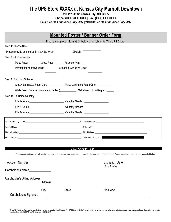### **The UPS Store #XXXX at Kansas City Marriott Downtown**

**200 W 12th St, Kansas City, MO 64105 Phone: (XXX) XXX.XXXX | Fax: (XXX) XXX.XXXX Email:** *To Be Announced July 2017* **| Website:** *To Be Announced July 2017*

| <b>Mounted Poster / Banner Order Form</b>                                                                                                                                                                                                       |  |  |  |  |
|-------------------------------------------------------------------------------------------------------------------------------------------------------------------------------------------------------------------------------------------------|--|--|--|--|
| Please complete information below and submit to The UPS Store.                                                                                                                                                                                  |  |  |  |  |
| Step 1: Choose Size-                                                                                                                                                                                                                            |  |  |  |  |
| Please provide poster size in INCHES. Width ________________ X Height                                                                                                                                                                           |  |  |  |  |
| Step 2: Choose Media-                                                                                                                                                                                                                           |  |  |  |  |
| Matte Paper ____________Gloss Paper ___________ Polyester Vinyl                                                                                                                                                                                 |  |  |  |  |
| Permanent Adhesive White __________ Permanent Adhesive Clear <sup>---------</sup>                                                                                                                                                               |  |  |  |  |
|                                                                                                                                                                                                                                                 |  |  |  |  |
| Step 3: Finishing Options-                                                                                                                                                                                                                      |  |  |  |  |
| Glossy Laminated Foam Core ______________ Matte Laminated Foam Core ____________                                                                                                                                                                |  |  |  |  |
|                                                                                                                                                                                                                                                 |  |  |  |  |
| Step 4: File Name/Quantity                                                                                                                                                                                                                      |  |  |  |  |
|                                                                                                                                                                                                                                                 |  |  |  |  |
|                                                                                                                                                                                                                                                 |  |  |  |  |
|                                                                                                                                                                                                                                                 |  |  |  |  |
|                                                                                                                                                                                                                                                 |  |  |  |  |
|                                                                                                                                                                                                                                                 |  |  |  |  |
|                                                                                                                                                                                                                                                 |  |  |  |  |
| UPS Store Associate: We have a state of the state of the state of the state of the state of the state of the state of the state of the state of the state of the state of the state of the state of the state of the state of<br>Email Address: |  |  |  |  |

#### CREDIT **CARD PAYMENT**

For your convenience, we will use this authorization to charge your credit card account for the above services requested. Please compl ete the information requested below.

| <b>Account Number</b>        |         |              | <b>Expiration Date</b><br><b>CVV Code</b> |
|------------------------------|---------|--------------|-------------------------------------------|
| Cardholder's Name            |         |              |                                           |
| Cardholder's Billing Address | Address |              |                                           |
| Cardholder's Signature       | City    | <b>State</b> | Zip Code                                  |

The UPS Store® locations are independently owned and operated by franchisees of The UPS Store, Inc. in the USA and by its master licensee and its franchisees in Canada. Services, pricing and hours of operation may vary by location. Copyright © 2017 The UPS Store, Inc. 41033930514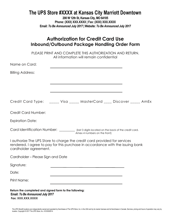### **The UPS Store #XXXX at Kansas City Marriott Downtown**

**200 W 12th St, Kansas City, MO 64105 Phone: (XXX) XXX.XXXX | Fax: (XXX) XXX.XXXX Email:** *To Be Announced July 2017* **| Website:** *To Be Announced July 2017*

| Inbound/Outbound Package Handling Order Form                                                                                                                                         | <b>Authorization for Credit Card Use</b> |  |  |
|--------------------------------------------------------------------------------------------------------------------------------------------------------------------------------------|------------------------------------------|--|--|
| PLEASE PRINT AND COMPLETE THIS AUTHORIZATION AND RETURN.                                                                                                                             | All information will remain confidential |  |  |
| Name on Card:                                                                                                                                                                        |                                          |  |  |
| <b>Billing Address:</b>                                                                                                                                                              |                                          |  |  |
|                                                                                                                                                                                      |                                          |  |  |
|                                                                                                                                                                                      |                                          |  |  |
|                                                                                                                                                                                      |                                          |  |  |
| Credit Card Number:                                                                                                                                                                  |                                          |  |  |
| <b>Expiration Date:</b>                                                                                                                                                              |                                          |  |  |
| Card Identification Number: <i>_________</i> (last 3 digits located on the back of the credit card.                                                                                  | Amex 4 numbers on the front)             |  |  |
| I authorize The UPS Store to charge the credit card provided for services<br>rendered. I agree to pay for this purchase in accordance with the issuing bank<br>cardholder agreement. |                                          |  |  |
| Cardholder – Please Sign and Date                                                                                                                                                    |                                          |  |  |
| Signature:                                                                                                                                                                           |                                          |  |  |
| Date:                                                                                                                                                                                |                                          |  |  |
| <b>Print Name:</b>                                                                                                                                                                   |                                          |  |  |
| Return the completed and signed form to the following:<br><b>Email: To Be Announced July 2017</b><br>Fax: XXX.XXX.XXXX                                                               |                                          |  |  |